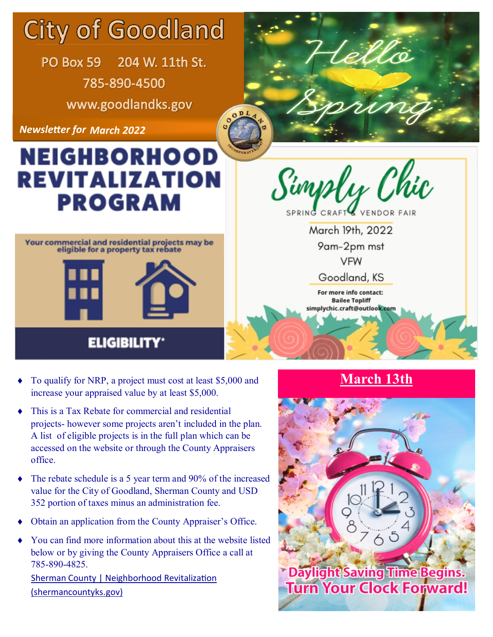# **City of Goodland**

PO Box 59 204 W. 11th St. 785-890-4500 www.goodlandks.gov

**Newsletter for March 2022** 

## **NEIGHBORHOOD** REVITALIZATION **PROGRAM**



Simply Chic

ellö

March 19th, 2022 9am-2pm mst **VFW** 

Goodland, KS

For more info contact: **Bailee Topliff** simplychic.craft@outlook.com

### **ELIGIBILITY**

- To qualify for NRP, a project must cost at least \$5,000 and **March 13th** increase your appraised value by at least \$5,000.
- This is a Tax Rebate for commercial and residential projects- however some projects aren't included in the plan. A list of eligible projects is in the full plan which can be accessed on the website or through the County Appraisers office.
- The rebate schedule is a 5 year term and 90% of the increased value for the City of Goodland, Sherman County and USD 352 portion of taxes minus an administration fee.
- Obtain an application from the County Appraiser's Office.
- You can find more information about this at the website listed below or by giving the County Appraisers Office a call at 785-890-4825.

Sherman County | Neighborhood Revitalization (shermancountyks.gov)



**Turn Your Clock Forward!**